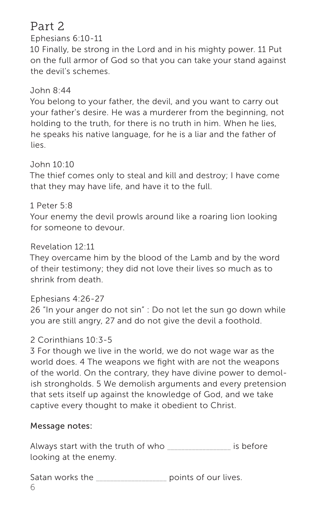## Part 2

Ephesians 6:10-11

10 Finally, be strong in the Lord and in his mighty power. 11 Put on the full armor of God so that you can take your stand against the devil's schemes.

## John 8:44

You belong to your father, the devil, and you want to carry out your father's desire. He was a murderer from the beginning, not holding to the truth, for there is no truth in him. When he lies, he speaks his native language, for he is a liar and the father of lies.

## John 10:10

The thief comes only to steal and kill and destroy; I have come that they may have life, and have it to the full.

## 1 Peter 5:8

Your enemy the devil prowls around like a roaring lion looking for someone to devour.

## Revelation 12:11

They overcame him by the blood of the Lamb and by the word of their testimony; they did not love their lives so much as to shrink from death.

## Ephesians 4:26-27

26 "In your anger do not sin" : Do not let the sun go down while you are still angry, 27 and do not give the devil a foothold.

## 2 Corinthians 10:3-5

3 For though we live in the world, we do not wage war as the world does. 4 The weapons we fight with are not the weapons of the world. On the contrary, they have divine power to demolish strongholds. 5 We demolish arguments and every pretension that sets itself up against the knowledge of God, and we take captive every thought to make it obedient to Christ.

## Message notes:

| Always start with the truth of who | is before |
|------------------------------------|-----------|
| looking at the enemy.              |           |

6 Satan works the \_\_\_\_\_\_\_\_\_\_\_\_\_\_\_\_\_\_\_\_\_\_ points of our lives.